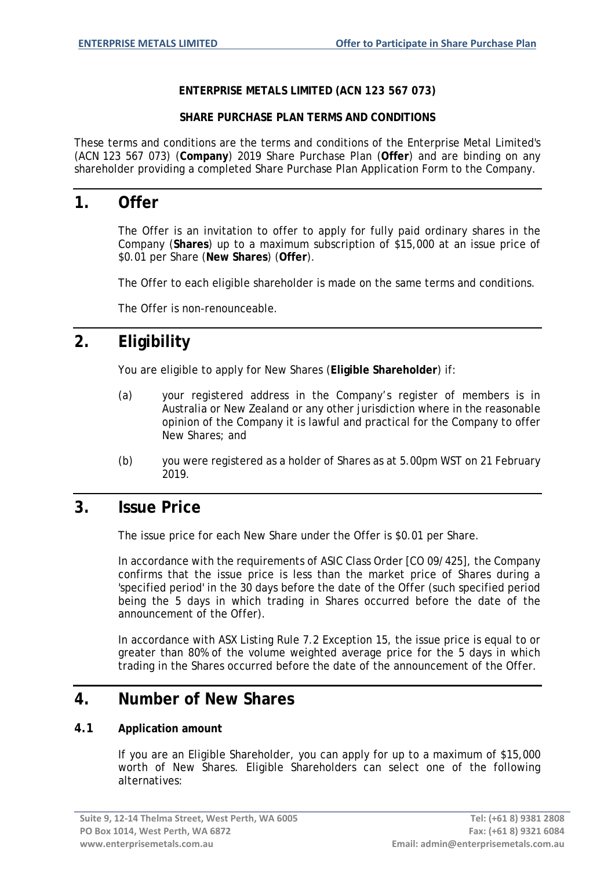#### **ENTERPRISE METALS LIMITED (ACN 123 567 073)**

#### **SHARE PURCHASE PLAN TERMS AND CONDITIONS**

These terms and conditions are the terms and conditions of the Enterprise Metal Limited's (ACN 123 567 073) (**Company**) 2019 Share Purchase Plan (**Offer**) and are binding on any shareholder providing a completed Share Purchase Plan Application Form to the Company.

### **1. Offer**

The Offer is an invitation to offer to apply for fully paid ordinary shares in the Company (**Shares**) up to a maximum subscription of \$15,000 at an issue price of \$0.01 per Share (**New Shares**) (**Offer**).

The Offer to each eligible shareholder is made on the same terms and conditions.

The Offer is non-renounceable.

# **2. Eligibility**

You are eligible to apply for New Shares (**Eligible Shareholder**) if:

- (a) your registered address in the Company's register of members is in Australia or New Zealand or any other jurisdiction where in the reasonable opinion of the Company it is lawful and practical for the Company to offer New Shares; and
- (b) you were registered as a holder of Shares as at 5.00pm WST on 21 February 2019.

### **3. Issue Price**

The issue price for each New Share under the Offer is \$0.01 per Share.

In accordance with the requirements of ASIC Class Order [CO 09/425], the Company confirms that the issue price is less than the market price of Shares during a 'specified period' in the 30 days before the date of the Offer (such specified period being the 5 days in which trading in Shares occurred before the date of the announcement of the Offer).

In accordance with ASX Listing Rule 7.2 Exception 15, the issue price is equal to or greater than 80% of the volume weighted average price for the 5 days in which trading in the Shares occurred before the date of the announcement of the Offer.

### **4. Number of New Shares**

### **4.1 Application amount**

If you are an Eligible Shareholder, you can apply for up to a maximum of \$15,000 worth of New Shares. Eligible Shareholders can select one of the following alternatives: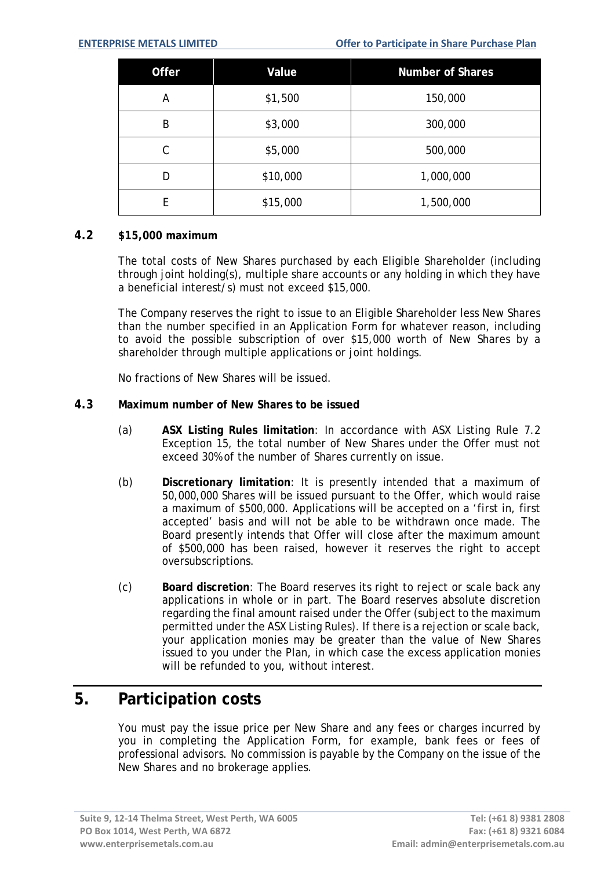| Offer | Value    | <b>Number of Shares</b> |
|-------|----------|-------------------------|
| Α     | \$1,500  | 150,000                 |
| B     | \$3,000  | 300,000                 |
| C     | \$5,000  | 500,000                 |
| D     | \$10,000 | 1,000,000               |
| E     | \$15,000 | 1,500,000               |

#### **4.2 \$15,000 maximum**

The total costs of New Shares purchased by each Eligible Shareholder (including through joint holding(s), multiple share accounts or any holding in which they have a beneficial interest/s) must not exceed \$15,000.

The Company reserves the right to issue to an Eligible Shareholder less New Shares than the number specified in an Application Form for whatever reason, including to avoid the possible subscription of over \$15,000 worth of New Shares by a shareholder through multiple applications or joint holdings.

No fractions of New Shares will be issued.

#### **4.3 Maximum number of New Shares to be issued**

- (a) **ASX Listing Rules limitation**: In accordance with ASX Listing Rule 7.2 Exception 15, the total number of New Shares under the Offer must not exceed 30% of the number of Shares currently on issue.
- (b) **Discretionary limitation**: It is presently intended that a maximum of 50,000,000 Shares will be issued pursuant to the Offer, which would raise a maximum of \$500,000. Applications will be accepted on a 'first in, first accepted' basis and will not be able to be withdrawn once made. The Board presently intends that Offer will close after the maximum amount of \$500,000 has been raised, however it reserves the right to accept oversubscriptions.
- (c) **Board discretion**: The Board reserves its right to reject or scale back any applications in whole or in part. The Board reserves absolute discretion regarding the final amount raised under the Offer (subject to the maximum permitted under the ASX Listing Rules). If there is a rejection or scale back, your application monies may be greater than the value of New Shares issued to you under the Plan, in which case the excess application monies will be refunded to you, without interest.

### **5. Participation costs**

You must pay the issue price per New Share and any fees or charges incurred by you in completing the Application Form, for example, bank fees or fees of professional advisors. No commission is payable by the Company on the issue of the New Shares and no brokerage applies.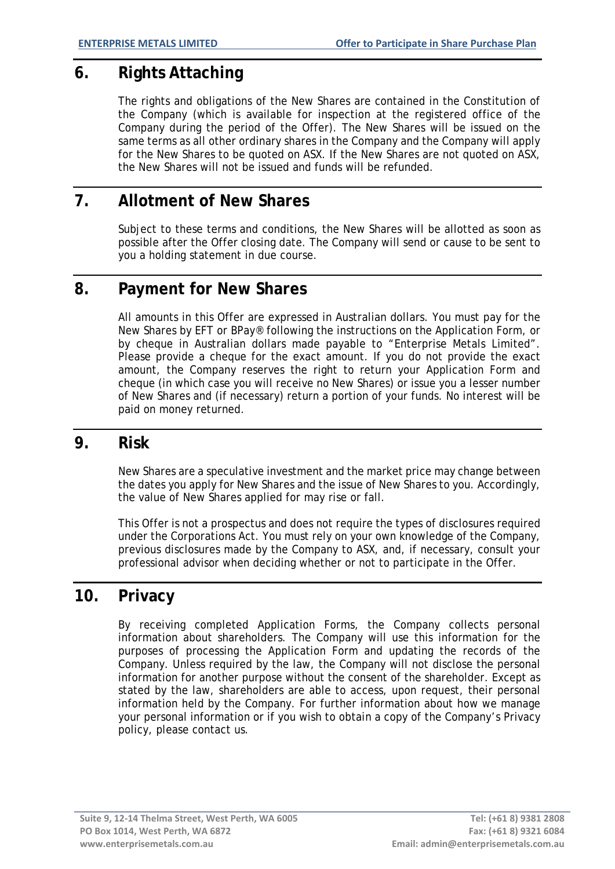# **6. Rights Attaching**

The rights and obligations of the New Shares are contained in the Constitution of the Company (which is available for inspection at the registered office of the Company during the period of the Offer). The New Shares will be issued on the same terms as all other ordinary shares in the Company and the Company will apply for the New Shares to be quoted on ASX. If the New Shares are not quoted on ASX, the New Shares will not be issued and funds will be refunded.

# **7. Allotment of New Shares**

Subject to these terms and conditions, the New Shares will be allotted as soon as possible after the Offer closing date. The Company will send or cause to be sent to you a holding statement in due course.

## **8. Payment for New Shares**

All amounts in this Offer are expressed in Australian dollars. You must pay for the New Shares by EFT or BPay® following the instructions on the Application Form, or by cheque in Australian dollars made payable to "Enterprise Metals Limited". Please provide a cheque for the exact amount. If you do not provide the exact amount, the Company reserves the right to return your Application Form and cheque (in which case you will receive no New Shares) or issue you a lesser number of New Shares and (if necessary) return a portion of your funds. No interest will be paid on money returned.

# **9. Risk**

New Shares are a speculative investment and the market price may change between the dates you apply for New Shares and the issue of New Shares to you. Accordingly, the value of New Shares applied for may rise or fall.

This Offer is not a prospectus and does not require the types of disclosures required under the Corporations Act. You must rely on your own knowledge of the Company, previous disclosures made by the Company to ASX, and, if necessary, consult your professional advisor when deciding whether or not to participate in the Offer.

# **10. Privacy**

By receiving completed Application Forms, the Company collects personal information about shareholders. The Company will use this information for the purposes of processing the Application Form and updating the records of the Company. Unless required by the law, the Company will not disclose the personal information for another purpose without the consent of the shareholder. Except as stated by the law, shareholders are able to access, upon request, their personal information held by the Company. For further information about how we manage your personal information or if you wish to obtain a copy of the Company's Privacy policy, please contact us.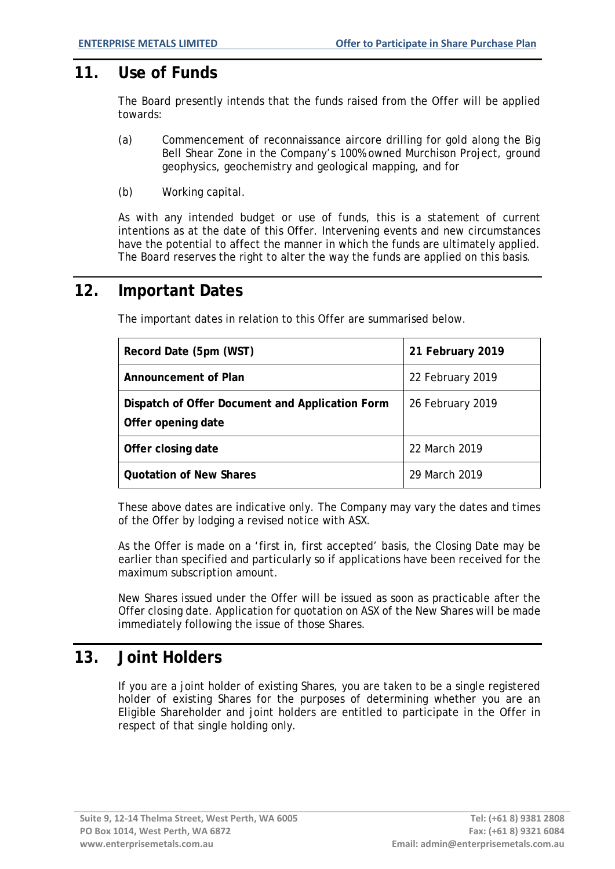## **11. Use of Funds**

The Board presently intends that the funds raised from the Offer will be applied towards:

- (a) Commencement of reconnaissance aircore drilling for gold along the Big Bell Shear Zone in the Company's 100% owned Murchison Project, ground geophysics, geochemistry and geological mapping, and for
- (b) Working capital.

As with any intended budget or use of funds, this is a statement of current intentions as at the date of this Offer. Intervening events and new circumstances have the potential to affect the manner in which the funds are ultimately applied. The Board reserves the right to alter the way the funds are applied on this basis.

# **12. Important Dates**

The important dates in relation to this Offer are summarised below.

| Record Date (5pm (WST)                                                | 21 February 2019 |
|-----------------------------------------------------------------------|------------------|
| Announcement of Plan                                                  | 22 February 2019 |
| Dispatch of Offer Document and Application Form<br>Offer opening date | 26 February 2019 |
| Offer closing date                                                    | 22 March 2019    |
| <b>Quotation of New Shares</b>                                        | 29 March 2019    |

These above dates are indicative only. The Company may vary the dates and times of the Offer by lodging a revised notice with ASX.

As the Offer is made on a 'first in, first accepted' basis, the Closing Date may be earlier than specified and particularly so if applications have been received for the maximum subscription amount.

New Shares issued under the Offer will be issued as soon as practicable after the Offer closing date. Application for quotation on ASX of the New Shares will be made immediately following the issue of those Shares.

# **13. Joint Holders**

If you are a joint holder of existing Shares, you are taken to be a single registered holder of existing Shares for the purposes of determining whether you are an Eligible Shareholder and joint holders are entitled to participate in the Offer in respect of that single holding only.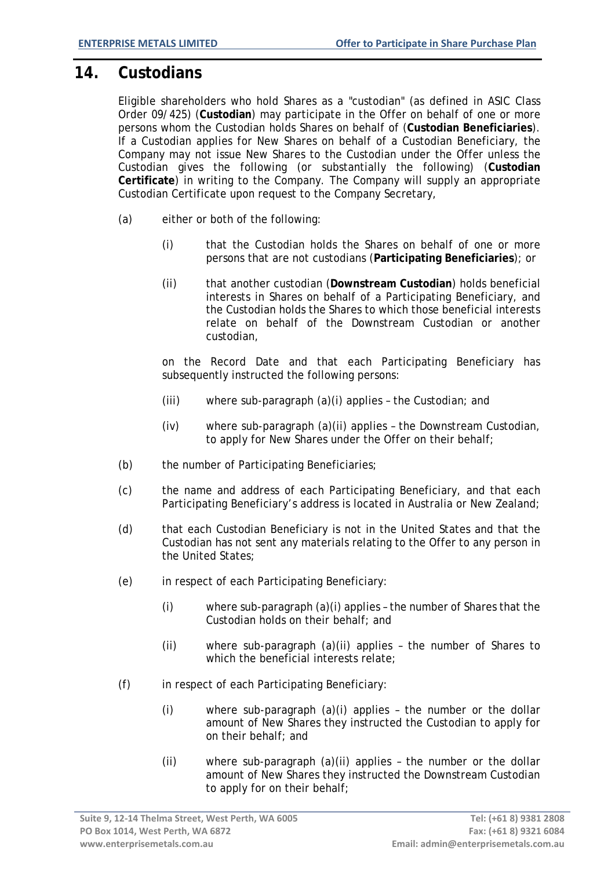## **14. Custodians**

Eligible shareholders who hold Shares as a "custodian" (as defined in ASIC Class Order 09/425) (**Custodian**) may participate in the Offer on behalf of one or more persons whom the Custodian holds Shares on behalf of (**Custodian Beneficiaries**). If a Custodian applies for New Shares on behalf of a Custodian Beneficiary, the Company may not issue New Shares to the Custodian under the Offer unless the Custodian gives the following (or substantially the following) (**Custodian Certificate**) in writing to the Company. The Company will supply an appropriate Custodian Certificate upon request to the Company Secretary,

- (a) either or both of the following:
	- (i) that the Custodian holds the Shares on behalf of one or more persons that are not custodians (**Participating Beneficiaries**); or
	- (ii) that another custodian (**Downstream Custodian**) holds beneficial interests in Shares on behalf of a Participating Beneficiary, and the Custodian holds the Shares to which those beneficial interests relate on behalf of the Downstream Custodian or another custodian,

on the Record Date and that each Participating Beneficiary has subsequently instructed the following persons:

- (iii) where sub-paragraph (a)(i) applies the Custodian; and
- (iv) where sub-paragraph (a)(ii) applies the Downstream Custodian, to apply for New Shares under the Offer on their behalf;
- (b) the number of Participating Beneficiaries;
- (c) the name and address of each Participating Beneficiary, and that each Participating Beneficiary's address is located in Australia or New Zealand;
- (d) that each Custodian Beneficiary is not in the United States and that the Custodian has not sent any materials relating to the Offer to any person in the United States;
- (e) in respect of each Participating Beneficiary:
	- (i) where sub-paragraph (a)(i) applies the number of Shares that the Custodian holds on their behalf; and
	- (ii) where sub-paragraph (a)(ii) applies the number of Shares to which the beneficial interests relate;
- (f) in respect of each Participating Beneficiary:
	- (i) where sub-paragraph (a)(i) applies the number or the dollar amount of New Shares they instructed the Custodian to apply for on their behalf; and
	- (ii) where sub-paragraph (a)(ii) applies the number or the dollar amount of New Shares they instructed the Downstream Custodian to apply for on their behalf;